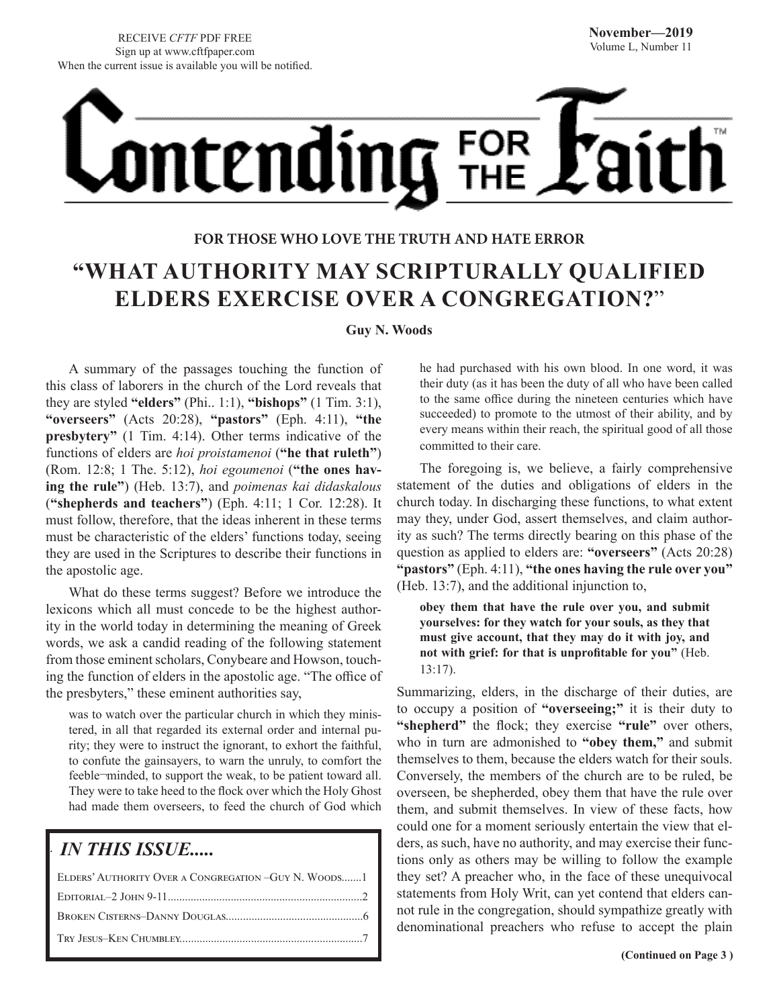# <u>ontending</u> FOR<br>THE

### **FOR THOSE WHO LOVE THE TRUTH AND HATE ERROR "WHAT AUTHORITY MAY SCRIPTURALLY QUALIFIED ELDERS EXERCISE OVER A CONGREGATION?**"

#### **Guy N. Woods**

A summary of the passages touching the function of this class of laborers in the church of the Lord reveals that they are styled **"elders"** (Phi.. 1:1), **"bishops"** (1 Tim. 3:1), **"overseers"** (Acts 20:28), **"pastors"** (Eph. 4:11), **"the presbytery**" (1 Tim. 4:14). Other terms indicative of the functions of elders are *hoi proistamenoi* (**"he that ruleth"**) (Rom. 12:8; 1 The. 5:12), *hoi egoumenoi* (**"the ones having the rule"**) (Heb. 13:7), and *poimenas kai didaskalous*  (**"shepherds and teachers"**) (Eph. 4:11; 1 Cor. 12:28). It must follow, therefore, that the ideas inherent in these terms must be characteristic of the elders' functions today, seeing they are used in the Scriptures to describe their functions in the apostolic age.

What do these terms suggest? Before we introduce the lexicons which all must concede to be the highest authority in the world today in determining the meaning of Greek words, we ask a candid reading of the following statement from those eminent scholars, Conybeare and Howson, touching the function of elders in the apostolic age. "The office of the presbyters," these eminent authorities say,

was to watch over the particular church in which they ministered, in all that regarded its external order and internal purity; they were to instruct the ignorant, to exhort the faithful, to confute the gainsayers, to warn the unruly, to comfort the feeble¬minded, to support the weak, to be patient toward all. They were to take heed to the flock over which the Holy Ghost had made them overseers, to feed the church of God which

#### *IN THIS ISSUE.....*

.

| ELDERS' AUTHORITY OVER A CONGREGATION -GUY N. WOODS |
|-----------------------------------------------------|
|                                                     |
|                                                     |
|                                                     |

he had purchased with his own blood. In one word, it was their duty (as it has been the duty of all who have been called to the same office during the nineteen centuries which have succeeded) to promote to the utmost of their ability, and by every means within their reach, the spiritual good of all those committed to their care.

The foregoing is, we believe, a fairly comprehensive statement of the duties and obligations of elders in the church today. In discharging these functions, to what extent may they, under God, assert themselves, and claim authority as such? The terms directly bearing on this phase of the question as applied to elders are: **"overseers"** (Acts 20:28) **"pastors"** (Eph. 4:11), **"the ones having the rule over you"** (Heb. 13:7), and the additional injunction to,

**obey them that have the rule over you, and submit yourselves: for they watch for your souls, as they that must give account, that they may do it with joy, and not with grief: for that is unprofitable for you"** (Heb. 13:17).

Summarizing, elders, in the discharge of their duties, are to occupy a position of **"overseeing;"** it is their duty to **"shepherd"** the flock; they exercise **"rule"** over others, who in turn are admonished to **"obey them,"** and submit themselves to them, because the elders watch for their souls. Conversely, the members of the church are to be ruled, be overseen, be shepherded, obey them that have the rule over them, and submit themselves. In view of these facts, how could one for a moment seriously entertain the view that elders, as such, have no authority, and may exercise their functions only as others may be willing to follow the example they set? A preacher who, in the face of these unequivocal statements from Holy Writ, can yet contend that elders cannot rule in the congregation, should sympathize greatly with denominational preachers who refuse to accept the plain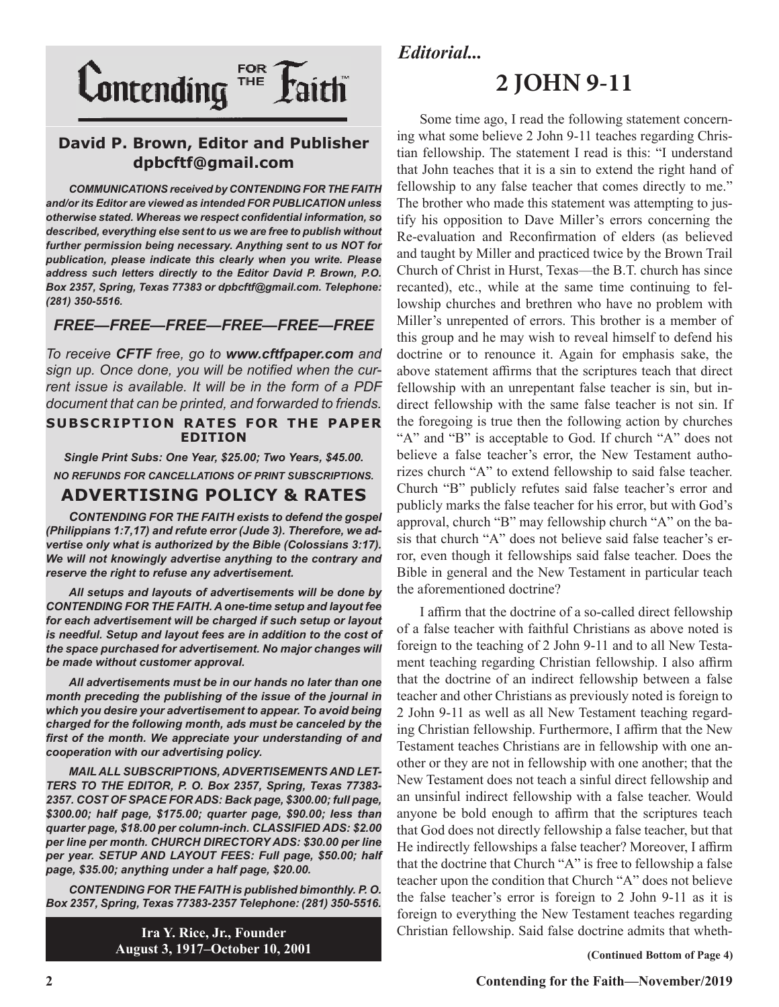

#### **David P. Brown, Editor and Publisher dpbcftf@gmail.com**

*COMMUNICATIONS received by CONTENDING FOR THE FAITH and/or its Editor are viewed as intended FOR PUBLICATION unless otherwise stated. Whereas we respect confidential information, so described, everything else sent to us we are free to publish without further permission being necessary. Anything sent to us NOT for publication, please indicate this clearly when you write. Please address such letters directly to the Editor David P. Brown, P.O. Box 2357, Spring, Texas 77383 or dpbcftf@gmail.com. Telephone: (281) 350-5516.*

#### *FREE—FREE—FREE—FREE—FREE—FREE*

*To receive CFTF free, go to www.cftfpaper.com and sign up. Once done, you will be notified when the current issue is available. It will be in the form of a PDF document that can be printed, and forwarded to friends.*

#### **SUBSCRIPTION RATES FOR THE PAPER EDITION**

*Single Print Subs: One Year, \$25.00; Two Years, \$45.00. NO REFUNDS FOR CANCELLATIONS OF PRINT SUBSCRIPTIONS.*

#### **ADVERTISING POLICY & RATES**

*CONTENDING FOR THE FAITH exists to defend the gospel (Philippians 1:7,17) and refute error (Jude 3). Therefore, we advertise only what is authorized by the Bible (Colossians 3:17). We will not knowingly advertise anything to the contrary and reserve the right to refuse any advertisement.*

*All setups and layouts of advertisements will be done by CONTENDING FOR THE FAITH. A one-time setup and layout fee for each advertisement will be charged if such setup or layout is needful. Setup and layout fees are in addition to the cost of the space purchased for advertisement. No major changes will be made without customer approval.*

*All advertisements must be in our hands no later than one month preceding the publishing of the issue of the journal in which you desire your advertisement to appear. To avoid being charged for the following month, ads must be canceled by the first of the month. We appreciate your understanding of and cooperation with our advertising policy.*

*MAIL ALL SUBSCRIPTIONS, ADVERTISEMENTS AND LET-TERS TO THE EDITOR, P. O. Box 2357, Spring, Texas 77383- 2357. COST OF SPACE FOR ADS: Back page, \$300.00; full page, \$300.00; half page, \$175.00; quarter page, \$90.00; less than quarter page, \$18.00 per column-inch. CLASSIFIED ADS: \$2.00 per line per month. CHURCH DIRECTORY ADS: \$30.00 per line per year. SETUP AND LAYOUT FEES: Full page, \$50.00; half page, \$35.00; anything under a half page, \$20.00.*

*CONTENDING FOR THE FAITH is published bimonthly. P. O. Box 2357, Spring, Texas 77383-2357 Telephone: (281) 350-5516.*

> **Ira Y. Rice, Jr., Founder August 3, 1917–October 10, 2001**

#### *Editorial...*

### **2 JOHN 9-11**

Some time ago, I read the following statement concerning what some believe 2 John 9-11 teaches regarding Christian fellowship. The statement I read is this: "I understand that John teaches that it is a sin to extend the right hand of fellowship to any false teacher that comes directly to me." The brother who made this statement was attempting to justify his opposition to Dave Miller's errors concerning the Re-evaluation and Reconfirmation of elders (as believed and taught by Miller and practiced twice by the Brown Trail Church of Christ in Hurst, Texas—the B.T. church has since recanted), etc., while at the same time continuing to fellowship churches and brethren who have no problem with Miller's unrepented of errors. This brother is a member of this group and he may wish to reveal himself to defend his doctrine or to renounce it. Again for emphasis sake, the above statement affirms that the scriptures teach that direct fellowship with an unrepentant false teacher is sin, but indirect fellowship with the same false teacher is not sin. If the foregoing is true then the following action by churches "A" and "B" is acceptable to God. If church "A" does not believe a false teacher's error, the New Testament authorizes church "A" to extend fellowship to said false teacher. Church "B" publicly refutes said false teacher's error and publicly marks the false teacher for his error, but with God's approval, church "B" may fellowship church "A" on the basis that church "A" does not believe said false teacher's error, even though it fellowships said false teacher. Does the Bible in general and the New Testament in particular teach the aforementioned doctrine?

I affirm that the doctrine of a so-called direct fellowship of a false teacher with faithful Christians as above noted is foreign to the teaching of 2 John 9-11 and to all New Testament teaching regarding Christian fellowship. I also affirm that the doctrine of an indirect fellowship between a false teacher and other Christians as previously noted is foreign to 2 John 9-11 as well as all New Testament teaching regarding Christian fellowship. Furthermore, I affirm that the New Testament teaches Christians are in fellowship with one another or they are not in fellowship with one another; that the New Testament does not teach a sinful direct fellowship and an unsinful indirect fellowship with a false teacher. Would anyone be bold enough to affirm that the scriptures teach that God does not directly fellowship a false teacher, but that He indirectly fellowships a false teacher? Moreover, I affirm that the doctrine that Church "A" is free to fellowship a false teacher upon the condition that Church "A" does not believe the false teacher's error is foreign to 2 John 9-11 as it is foreign to everything the New Testament teaches regarding Christian fellowship. Said false doctrine admits that wheth-

 **(Continued Bottom of Page 4)**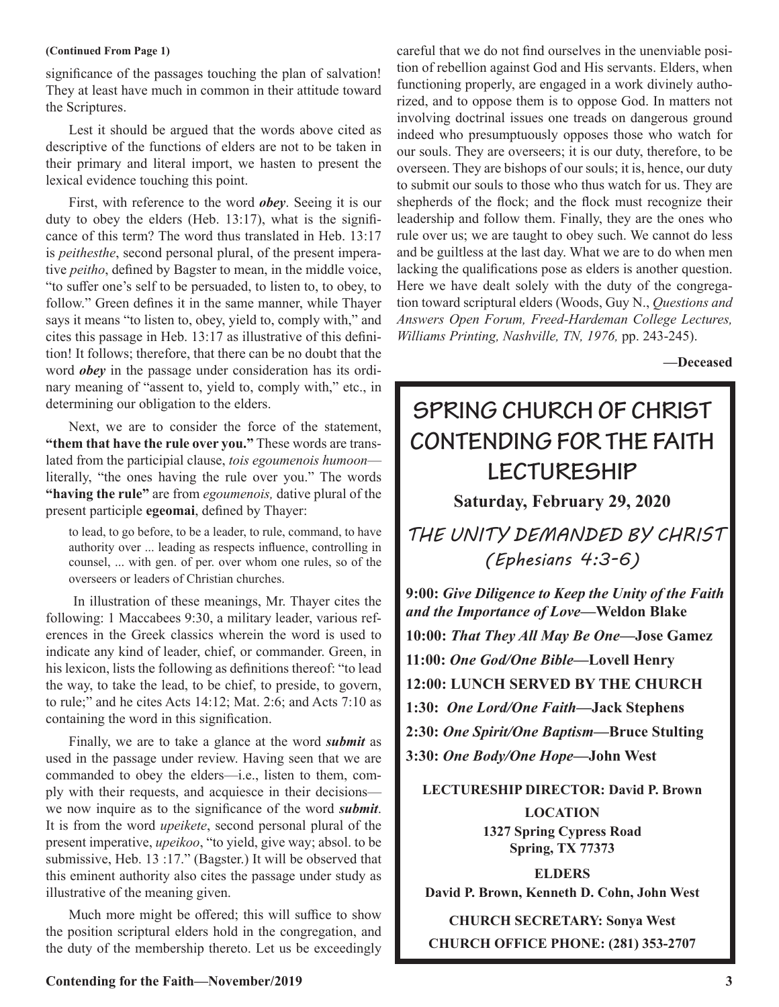#### **(Continued From Page 1)**

significance of the passages touching the plan of salvation! They at least have much in common in their attitude toward the Scriptures.

Lest it should be argued that the words above cited as descriptive of the functions of elders are not to be taken in their primary and literal import, we hasten to present the lexical evidence touching this point.

First, with reference to the word *obey*. Seeing it is our duty to obey the elders (Heb. 13:17), what is the significance of this term? The word thus translated in Heb. 13:17 is *peithesthe*, second personal plural, of the present imperative *peitho*, defined by Bagster to mean, in the middle voice, "to suffer one's self to be persuaded, to listen to, to obey, to follow." Green defines it in the same manner, while Thayer says it means "to listen to, obey, yield to, comply with," and cites this passage in Heb. 13:17 as illustrative of this definition! It follows; therefore, that there can be no doubt that the word *obey* in the passage under consideration has its ordinary meaning of "assent to, yield to, comply with," etc., in determining our obligation to the elders.

Next, we are to consider the force of the statement, **"them that have the rule over you."** These words are translated from the participial clause, *tois egoumenois humoon* literally, "the ones having the rule over you." The words **"having the rule"** are from *egoumenois,* dative plural of the present participle **egeomai**, defined by Thayer:

to lead, to go before, to be a leader, to rule, command, to have authority over ... leading as respects influence, controlling in counsel, ... with gen. of per. over whom one rules, so of the overseers or leaders of Christian churches.

 In illustration of these meanings, Mr. Thayer cites the following: 1 Maccabees 9:30, a military leader, various references in the Greek classics wherein the word is used to indicate any kind of leader, chief, or commander. Green, in his lexicon, lists the following as definitions thereof: "to lead the way, to take the lead, to be chief, to preside, to govern, to rule;" and he cites Acts 14:12; Mat. 2:6; and Acts 7:10 as containing the word in this signification.

Finally, we are to take a glance at the word *submit* as used in the passage under review. Having seen that we are commanded to obey the elders—i.e., listen to them, comply with their requests, and acquiesce in their decisions we now inquire as to the significance of the word *submit*. It is from the word *upeikete*, second personal plural of the present imperative, *upeikoo*, "to yield, give way; absol. to be submissive, Heb. 13 :17." (Bagster.) It will be observed that this eminent authority also cites the passage under study as illustrative of the meaning given.

Much more might be offered; this will suffice to show the position scriptural elders hold in the congregation, and the duty of the membership thereto. Let us be exceedingly

careful that we do not find ourselves in the unenviable position of rebellion against God and His servants. Elders, when functioning properly, are engaged in a work divinely authorized, and to oppose them is to oppose God. In matters not involving doctrinal issues one treads on dangerous ground indeed who presumptuously opposes those who watch for our souls. They are overseers; it is our duty, therefore, to be overseen. They are bishops of our souls; it is, hence, our duty to submit our souls to those who thus watch for us. They are shepherds of the flock; and the flock must recognize their leadership and follow them. Finally, they are the ones who rule over us; we are taught to obey such. We cannot do less and be guiltless at the last day. What we are to do when men lacking the qualifications pose as elders is another question. Here we have dealt solely with the duty of the congregation toward scriptural elders (Woods, Guy N., *Questions and Answers Open Forum, Freed-Hardeman College Lectures, Williams Printing, Nashville, TN, 1976,* pp. 243-245).

**—Deceased**

## **SPRING CHURCH OF CHRIST CONTENDING FOR THE FAITH LECTURESHIP**

**Saturday, February 29, 2020**

*THE UNITY DEMANDED BY CHRIST (Ephesians 4:3-6)*

**9:00:** *Give Diligence to Keep the Unity of the Faith and the Importance of Love***—Weldon Blake 10:00:** *That They All May Be One***—Jose Gamez 11:00:** *One God/One Bible—***Lovell Henry 12:00: LUNCH SERVED BY THE CHURCH 1:30:** *One Lord/One Faith***—Jack Stephens 2:30:** *One Spirit/One Baptism***—Bruce Stulting 3:30:** *One Body/One Hope***—John West**

**LECTURESHIP DIRECTOR: David P. Brown LOCATION 1327 Spring Cypress Road Spring, TX 77373**

**ELDERS David P. Brown, Kenneth D. Cohn, John West**

**CHURCH SECRETARY: Sonya West CHURCH OFFICE PHONE: (281) 353-2707**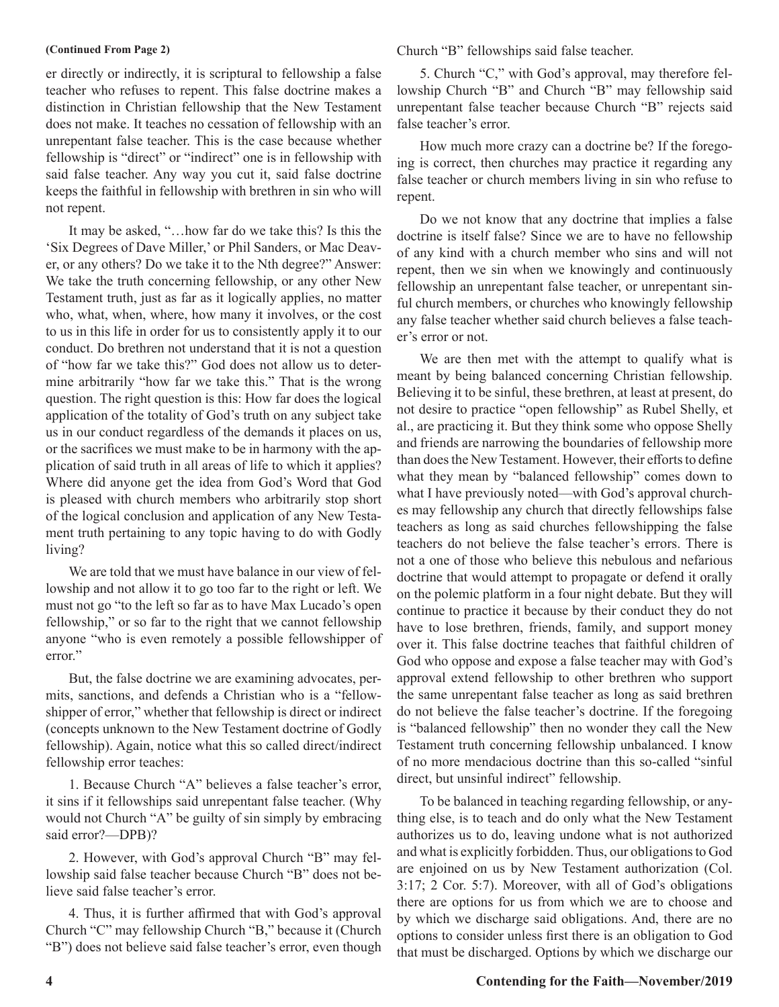er directly or indirectly, it is scriptural to fellowship a false teacher who refuses to repent. This false doctrine makes a distinction in Christian fellowship that the New Testament does not make. It teaches no cessation of fellowship with an unrepentant false teacher. This is the case because whether fellowship is "direct" or "indirect" one is in fellowship with said false teacher. Any way you cut it, said false doctrine keeps the faithful in fellowship with brethren in sin who will not repent.

It may be asked, "…how far do we take this? Is this the 'Six Degrees of Dave Miller,' or Phil Sanders, or Mac Deaver, or any others? Do we take it to the Nth degree?" Answer: We take the truth concerning fellowship, or any other New Testament truth, just as far as it logically applies, no matter who, what, when, where, how many it involves, or the cost to us in this life in order for us to consistently apply it to our conduct. Do brethren not understand that it is not a question of "how far we take this?" God does not allow us to determine arbitrarily "how far we take this." That is the wrong question. The right question is this: How far does the logical application of the totality of God's truth on any subject take us in our conduct regardless of the demands it places on us, or the sacrifices we must make to be in harmony with the application of said truth in all areas of life to which it applies? Where did anyone get the idea from God's Word that God is pleased with church members who arbitrarily stop short of the logical conclusion and application of any New Testament truth pertaining to any topic having to do with Godly living?

We are told that we must have balance in our view of fellowship and not allow it to go too far to the right or left. We must not go "to the left so far as to have Max Lucado's open fellowship," or so far to the right that we cannot fellowship anyone "who is even remotely a possible fellowshipper of error."

But, the false doctrine we are examining advocates, permits, sanctions, and defends a Christian who is a "fellowshipper of error," whether that fellowship is direct or indirect (concepts unknown to the New Testament doctrine of Godly fellowship). Again, notice what this so called direct/indirect fellowship error teaches:

1. Because Church "A" believes a false teacher's error, it sins if it fellowships said unrepentant false teacher. (Why would not Church "A" be guilty of sin simply by embracing said error?—DPB)?

2. However, with God's approval Church "B" may fellowship said false teacher because Church "B" does not believe said false teacher's error.

4. Thus, it is further affirmed that with God's approval Church "C" may fellowship Church "B," because it (Church "B") does not believe said false teacher's error, even though

**(Continued From Page 2)** Church "B" fellowships said false teacher.

5. Church "C," with God's approval, may therefore fellowship Church "B" and Church "B" may fellowship said unrepentant false teacher because Church "B" rejects said false teacher's error.

How much more crazy can a doctrine be? If the foregoing is correct, then churches may practice it regarding any false teacher or church members living in sin who refuse to repent.

Do we not know that any doctrine that implies a false doctrine is itself false? Since we are to have no fellowship of any kind with a church member who sins and will not repent, then we sin when we knowingly and continuously fellowship an unrepentant false teacher, or unrepentant sinful church members, or churches who knowingly fellowship any false teacher whether said church believes a false teacher's error or not.

We are then met with the attempt to qualify what is meant by being balanced concerning Christian fellowship. Believing it to be sinful, these brethren, at least at present, do not desire to practice "open fellowship" as Rubel Shelly, et al., are practicing it. But they think some who oppose Shelly and friends are narrowing the boundaries of fellowship more than does the New Testament. However, their efforts to define what they mean by "balanced fellowship" comes down to what I have previously noted—with God's approval churches may fellowship any church that directly fellowships false teachers as long as said churches fellowshipping the false teachers do not believe the false teacher's errors. There is not a one of those who believe this nebulous and nefarious doctrine that would attempt to propagate or defend it orally on the polemic platform in a four night debate. But they will continue to practice it because by their conduct they do not have to lose brethren, friends, family, and support money over it. This false doctrine teaches that faithful children of God who oppose and expose a false teacher may with God's approval extend fellowship to other brethren who support the same unrepentant false teacher as long as said brethren do not believe the false teacher's doctrine. If the foregoing is "balanced fellowship" then no wonder they call the New Testament truth concerning fellowship unbalanced. I know of no more mendacious doctrine than this so-called "sinful direct, but unsinful indirect" fellowship.

To be balanced in teaching regarding fellowship, or anything else, is to teach and do only what the New Testament authorizes us to do, leaving undone what is not authorized and what is explicitly forbidden. Thus, our obligations to God are enjoined on us by New Testament authorization (Col. 3:17; 2 Cor. 5:7). Moreover, with all of God's obligations there are options for us from which we are to choose and by which we discharge said obligations. And, there are no options to consider unless first there is an obligation to God that must be discharged. Options by which we discharge our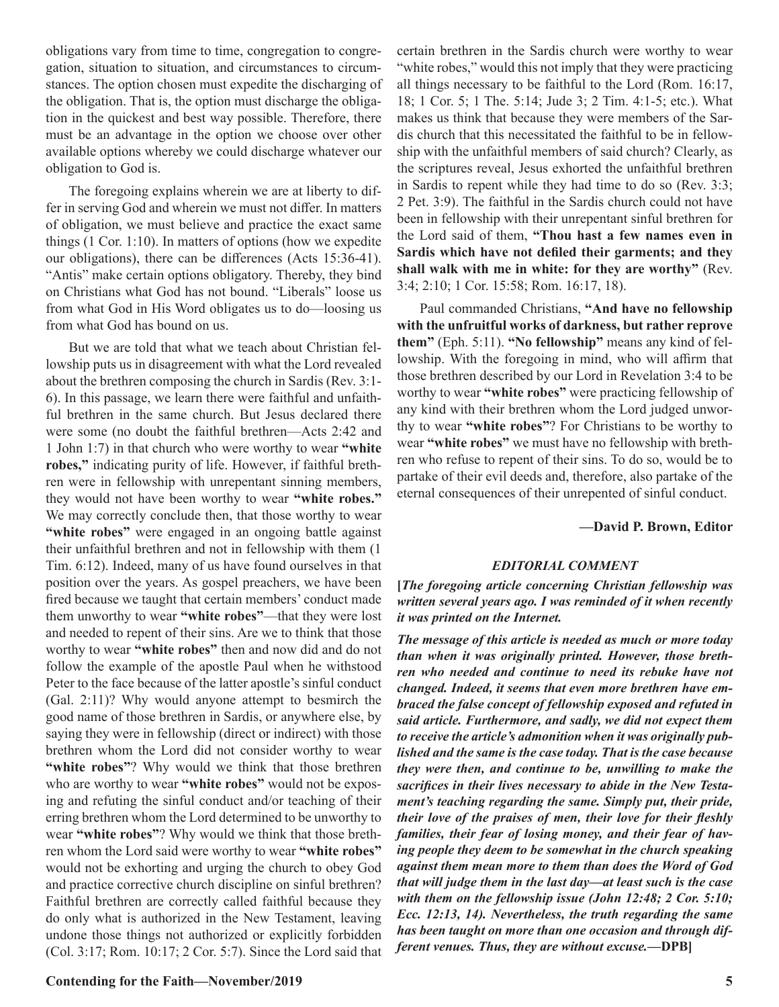obligations vary from time to time, congregation to congregation, situation to situation, and circumstances to circumstances. The option chosen must expedite the discharging of the obligation. That is, the option must discharge the obligation in the quickest and best way possible. Therefore, there must be an advantage in the option we choose over other available options whereby we could discharge whatever our obligation to God is.

The foregoing explains wherein we are at liberty to differ in serving God and wherein we must not differ. In matters of obligation, we must believe and practice the exact same things (1 Cor. 1:10). In matters of options (how we expedite our obligations), there can be differences (Acts 15:36-41). "Antis" make certain options obligatory. Thereby, they bind on Christians what God has not bound. "Liberals" loose us from what God in His Word obligates us to do—loosing us from what God has bound on us.

But we are told that what we teach about Christian fellowship puts us in disagreement with what the Lord revealed about the brethren composing the church in Sardis (Rev. 3:1- 6). In this passage, we learn there were faithful and unfaithful brethren in the same church. But Jesus declared there were some (no doubt the faithful brethren—Acts 2:42 and 1 John 1:7) in that church who were worthy to wear **"white robes,"** indicating purity of life. However, if faithful brethren were in fellowship with unrepentant sinning members, they would not have been worthy to wear **"white robes."**  We may correctly conclude then, that those worthy to wear "white robes" were engaged in an ongoing battle against their unfaithful brethren and not in fellowship with them (1 Tim. 6:12). Indeed, many of us have found ourselves in that position over the years. As gospel preachers, we have been fired because we taught that certain members' conduct made them unworthy to wear **"white robes"**—that they were lost and needed to repent of their sins. Are we to think that those worthy to wear **"white robes"** then and now did and do not follow the example of the apostle Paul when he withstood Peter to the face because of the latter apostle's sinful conduct (Gal. 2:11)? Why would anyone attempt to besmirch the good name of those brethren in Sardis, or anywhere else, by saying they were in fellowship (direct or indirect) with those brethren whom the Lord did not consider worthy to wear "white robes"? Why would we think that those brethren who are worthy to wear **"white robes"** would not be exposing and refuting the sinful conduct and/or teaching of their erring brethren whom the Lord determined to be unworthy to wear **"white robes"**? Why would we think that those brethren whom the Lord said were worthy to wear **"white robes"** would not be exhorting and urging the church to obey God and practice corrective church discipline on sinful brethren? Faithful brethren are correctly called faithful because they do only what is authorized in the New Testament, leaving undone those things not authorized or explicitly forbidden (Col. 3:17; Rom. 10:17; 2 Cor. 5:7). Since the Lord said that certain brethren in the Sardis church were worthy to wear "white robes," would this not imply that they were practicing all things necessary to be faithful to the Lord (Rom. 16:17, 18; 1 Cor. 5; 1 The. 5:14; Jude 3; 2 Tim. 4:1-5; etc.). What makes us think that because they were members of the Sardis church that this necessitated the faithful to be in fellowship with the unfaithful members of said church? Clearly, as the scriptures reveal, Jesus exhorted the unfaithful brethren in Sardis to repent while they had time to do so (Rev. 3:3; 2 Pet. 3:9). The faithful in the Sardis church could not have been in fellowship with their unrepentant sinful brethren for the Lord said of them, **"Thou hast a few names even in Sardis which have not defiled their garments; and they shall walk with me in white: for they are worthy"** (Rev. 3:4; 2:10; 1 Cor. 15:58; Rom. 16:17, 18).

Paul commanded Christians, **"And have no fellowship with the unfruitful works of darkness, but rather reprove them"** (Eph. 5:11). **"No fellowship"** means any kind of fellowship. With the foregoing in mind, who will affirm that those brethren described by our Lord in Revelation 3:4 to be worthy to wear **"white robes"** were practicing fellowship of any kind with their brethren whom the Lord judged unworthy to wear **"white robes"**? For Christians to be worthy to wear **"white robes"** we must have no fellowship with brethren who refuse to repent of their sins. To do so, would be to partake of their evil deeds and, therefore, also partake of the eternal consequences of their unrepented of sinful conduct.

#### **—David P. Brown, Editor**

#### *EDITORIAL COMMENT*

**[***The foregoing article concerning Christian fellowship was written several years ago. I was reminded of it when recently it was printed on the Internet.* 

*The message of this article is needed as much or more today than when it was originally printed. However, those brethren who needed and continue to need its rebuke have not changed. Indeed, it seems that even more brethren have embraced the false concept of fellowship exposed and refuted in said article. Furthermore, and sadly, we did not expect them to receive the article's admonition when it was originally published and the same is the case today. That is the case because they were then, and continue to be, unwilling to make the sacrifices in their lives necessary to abide in the New Testament's teaching regarding the same. Simply put, their pride, their love of the praises of men, their love for their fleshly families, their fear of losing money, and their fear of having people they deem to be somewhat in the church speaking against them mean more to them than does the Word of God that will judge them in the last day—at least such is the case with them on the fellowship issue (John 12:48; 2 Cor. 5:10; Ecc. 12:13, 14). Nevertheless, the truth regarding the same has been taught on more than one occasion and through different venues. Thus, they are without excuse.***—DPB]**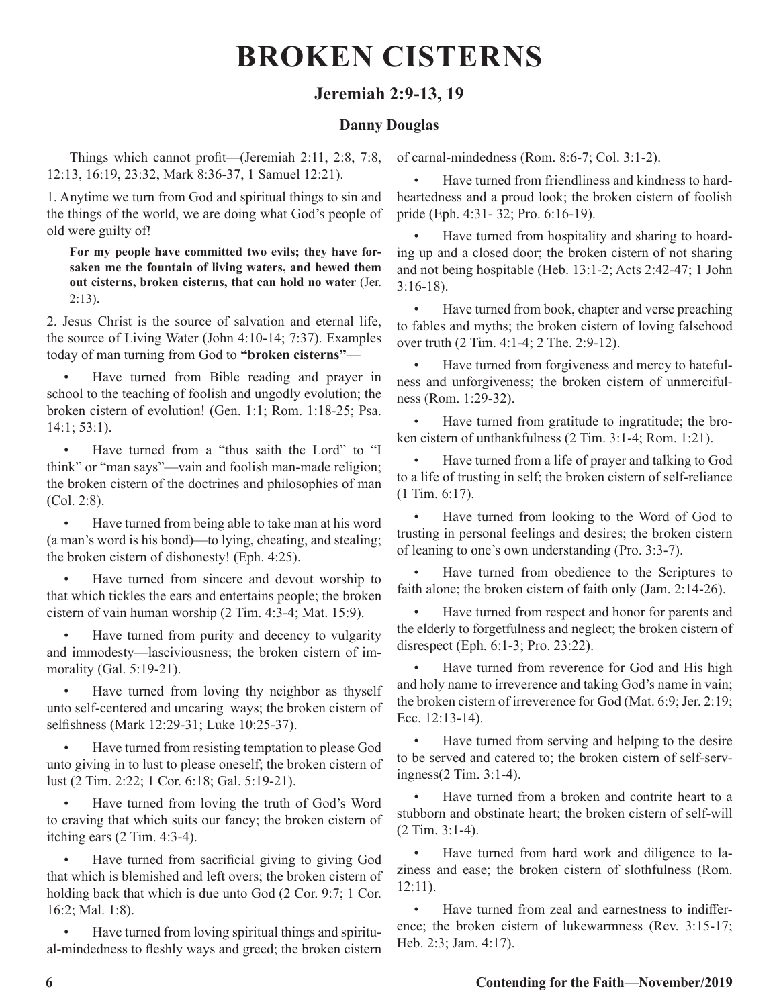## **BROKEN CISTERNS**

#### **Jeremiah 2:9-13, 19**

#### **Danny Douglas**

Things which cannot profit—(Jeremiah 2:11, 2:8, 7:8, 12:13, 16:19, 23:32, Mark 8:36-37, 1 Samuel 12:21).

1. Anytime we turn from God and spiritual things to sin and the things of the world, we are doing what God's people of old were guilty of!

**For my people have committed two evils; they have forsaken me the fountain of living waters, and hewed them out cisterns, broken cisterns, that can hold no water** (Jer. 2:13).

2. Jesus Christ is the source of salvation and eternal life, the source of Living Water (John 4:10-14; 7:37). Examples today of man turning from God to **"broken cisterns"**—

Have turned from Bible reading and prayer in school to the teaching of foolish and ungodly evolution; the broken cistern of evolution! (Gen. 1:1; Rom. 1:18-25; Psa. 14:1; 53:1).

Have turned from a "thus saith the Lord" to "I think" or "man says"—vain and foolish man-made religion; the broken cistern of the doctrines and philosophies of man (Col. 2:8).

• Have turned from being able to take man at his word (a man's word is his bond)—to lying, cheating, and stealing; the broken cistern of dishonesty! (Eph. 4:25).

Have turned from sincere and devout worship to that which tickles the ears and entertains people; the broken cistern of vain human worship (2 Tim. 4:3-4; Mat. 15:9).

Have turned from purity and decency to vulgarity and immodesty—lasciviousness; the broken cistern of immorality (Gal. 5:19-21).

Have turned from loving thy neighbor as thyself unto self-centered and uncaring ways; the broken cistern of selfishness (Mark 12:29-31; Luke 10:25-37).

• Have turned from resisting temptation to please God unto giving in to lust to please oneself; the broken cistern of lust (2 Tim. 2:22; 1 Cor. 6:18; Gal. 5:19-21).

Have turned from loving the truth of God's Word to craving that which suits our fancy; the broken cistern of itching ears (2 Tim. 4:3-4).

• Have turned from sacrificial giving to giving God that which is blemished and left overs; the broken cistern of holding back that which is due unto God (2 Cor. 9:7; 1 Cor. 16:2; Mal. 1:8).

• Have turned from loving spiritual things and spiritual-mindedness to fleshly ways and greed; the broken cistern of carnal-mindedness (Rom. 8:6-7; Col. 3:1-2).

Have turned from friendliness and kindness to hardheartedness and a proud look; the broken cistern of foolish pride (Eph. 4:31- 32; Pro. 6:16-19).

Have turned from hospitality and sharing to hoarding up and a closed door; the broken cistern of not sharing and not being hospitable (Heb. 13:1-2; Acts 2:42-47; 1 John 3:16-18).

Have turned from book, chapter and verse preaching to fables and myths; the broken cistern of loving falsehood over truth (2 Tim. 4:1-4; 2 The. 2:9-12).

• Have turned from forgiveness and mercy to hatefulness and unforgiveness; the broken cistern of unmercifulness (Rom. 1:29-32).

• Have turned from gratitude to ingratitude; the broken cistern of unthankfulness (2 Tim. 3:1-4; Rom. 1:21).

Have turned from a life of prayer and talking to God to a life of trusting in self; the broken cistern of self-reliance (1 Tim. 6:17).

Have turned from looking to the Word of God to trusting in personal feelings and desires; the broken cistern of leaning to one's own understanding (Pro. 3:3-7).

Have turned from obedience to the Scriptures to faith alone; the broken cistern of faith only (Jam. 2:14-26).

Have turned from respect and honor for parents and the elderly to forgetfulness and neglect; the broken cistern of disrespect (Eph. 6:1-3; Pro. 23:22).

Have turned from reverence for God and His high and holy name to irreverence and taking God's name in vain; the broken cistern of irreverence for God (Mat. 6:9; Jer. 2:19; Ecc. 12:13-14).

• Have turned from serving and helping to the desire to be served and catered to; the broken cistern of self-servingness(2 Tim. 3:1-4).

Have turned from a broken and contrite heart to a stubborn and obstinate heart; the broken cistern of self-will (2 Tim. 3:1-4).

Have turned from hard work and diligence to laziness and ease; the broken cistern of slothfulness (Rom. 12:11).

Have turned from zeal and earnestness to indifference; the broken cistern of lukewarmness (Rev. 3:15-17; Heb. 2:3; Jam. 4:17).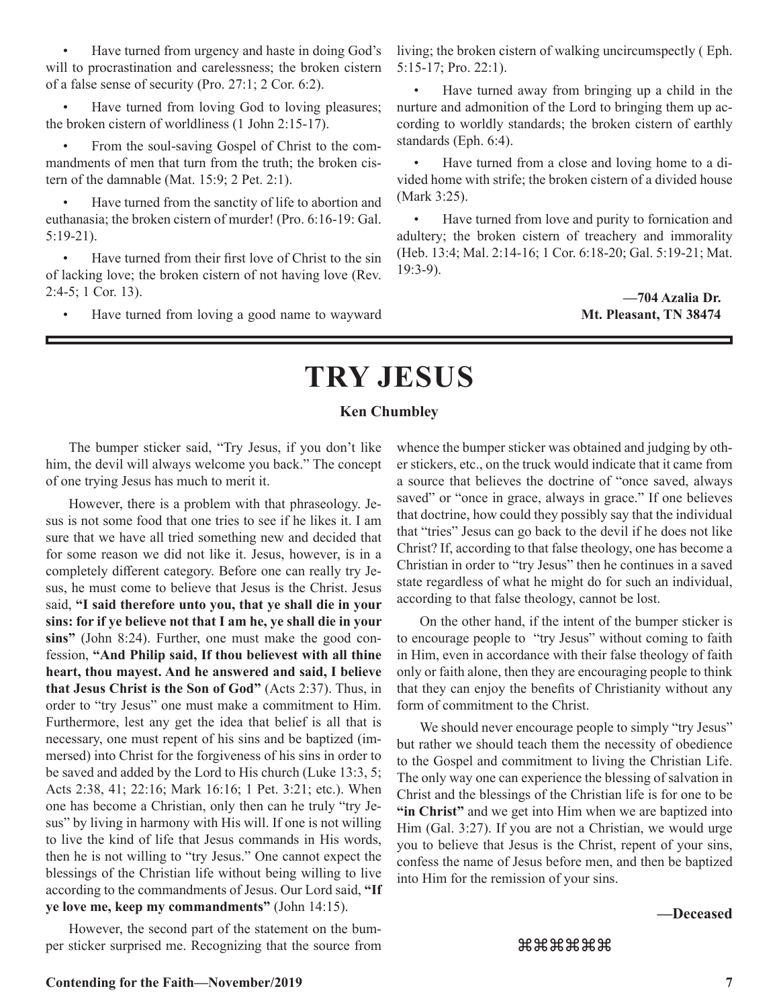• Have turned from urgency and haste in doing God's will to procrastination and carelessness; the broken cistern of a false sense of security (Pro. 27:1; 2 Cor. 6:2).

Have turned from loving God to loving pleasures; the broken cistern of worldliness (1 John 2:15-17).

• From the soul-saving Gospel of Christ to the commandments of men that turn from the truth; the broken cistern of the damnable (Mat. 15:9; 2 Pet. 2:1).

Have turned from the sanctity of life to abortion and euthanasia; the broken cistern of murder! (Pro. 6:16-19: Gal. 5:19-21).

• Have turned from their first love of Christ to the sin of lacking love; the broken cistern of not having love (Rev. 2:4-5; 1 Cor. 13).

Have turned from loving a good name to wayward

living; the broken cistern of walking uncircumspectly ( Eph. 5:15-17; Pro. 22:1).

Have turned away from bringing up a child in the nurture and admonition of the Lord to bringing them up according to worldly standards; the broken cistern of earthly standards (Eph. 6:4).

• Have turned from a close and loving home to a divided home with strife; the broken cistern of a divided house (Mark 3:25).

Have turned from love and purity to fornication and adultery; the broken cistern of treachery and immorality (Heb. 13:4; Mal. 2:14-16; 1 Cor. 6:18-20; Gal. 5:19-21; Mat. 19:3-9).

> **—704 Azalia Dr. Mt. Pleasant, TN 38474**

## **TRY JESUS**

#### **Ken Chumbley**

The bumper sticker said, "Try Jesus, if you don't like him, the devil will always welcome you back." The concept of one trying Jesus has much to merit it.

However, there is a problem with that phraseology. Jesus is not some food that one tries to see if he likes it. I am sure that we have all tried something new and decided that for some reason we did not like it. Jesus, however, is in a completely different category. Before one can really try Jesus, he must come to believe that Jesus is the Christ. Jesus said, **"I said therefore unto you, that ye shall die in your sins: for if ye believe not that I am he, ye shall die in your sins"** (John 8:24). Further, one must make the good confession, **"And Philip said, If thou believest with all thine heart, thou mayest. And he answered and said, I believe that Jesus Christ is the Son of God"** (Acts 2:37). Thus, in order to "try Jesus" one must make a commitment to Him. Furthermore, lest any get the idea that belief is all that is necessary, one must repent of his sins and be baptized (immersed) into Christ for the forgiveness of his sins in order to be saved and added by the Lord to His church (Luke 13:3, 5; Acts 2:38, 41; 22:16; Mark 16:16; 1 Pet. 3:21; etc.). When one has become a Christian, only then can he truly "try Jesus" by living in harmony with His will. If one is not willing to live the kind of life that Jesus commands in His words, then he is not willing to "try Jesus." One cannot expect the blessings of the Christian life without being willing to live according to the commandments of Jesus. Our Lord said, **"If ye love me, keep my commandments"** (John 14:15).

However, the second part of the statement on the bumper sticker surprised me. Recognizing that the source from whence the bumper sticker was obtained and judging by other stickers, etc., on the truck would indicate that it came from a source that believes the doctrine of "once saved, always saved" or "once in grace, always in grace." If one believes that doctrine, how could they possibly say that the individual that "tries" Jesus can go back to the devil if he does not like Christ? If, according to that false theology, one has become a Christian in order to "try Jesus" then he continues in a saved state regardless of what he might do for such an individual, according to that false theology, cannot be lost.

On the other hand, if the intent of the bumper sticker is to encourage people to "try Jesus" without coming to faith in Him, even in accordance with their false theology of faith only or faith alone, then they are encouraging people to think that they can enjoy the benefits of Christianity without any form of commitment to the Christ.

We should never encourage people to simply "try Jesus" but rather we should teach them the necessity of obedience to the Gospel and commitment to living the Christian Life. The only way one can experience the blessing of salvation in Christ and the blessings of the Christian life is for one to be **"in Christ"** and we get into Him when we are baptized into Him (Gal. 3:27). If you are not a Christian, we would urge you to believe that Jesus is the Christ, repent of your sins, confess the name of Jesus before men, and then be baptized into Him for the remission of your sins.

#### **—Deceased**

#### zzzzzz